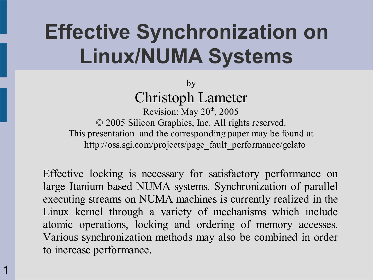## **Effective Synchronization on Linux/NUMA Systems**

by Christoph Lameter

Revision: May 20<sup>th</sup>, 2005 © 2005 Silicon Graphics, Inc. All rights reserved. This presentation and the corresponding paper may be found at http://oss.sgi.com/projects/page\_fault\_performance/gelato

Effective locking is necessary for satisfactory performance on large Itanium based NUMA systems. Synchronization of parallel executing streams on NUMA machines is currently realized in the Linux kernel through a variety of mechanisms which include atomic operations, locking and ordering of memory accesses. Various synchronization methods may also be combined in order to increase performance.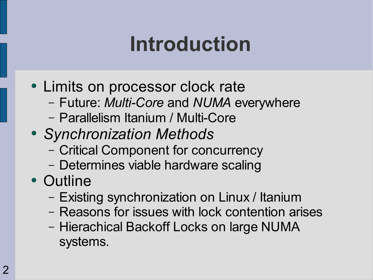### **Introduction**

- Limits on processor clock rate
	- Future: *Multi-Core* and *NUMA* everywhere
	- Parallelism Itanium / Multi-Core
- *Synchronization Methods*
	- Critical Component for concurrency
	- Determines viable hardware scaling
- Outline
	- Existing synchronization on Linux / Itanium
	- Reasons for issues with lock contention arises
	- Hierachical Backoff Locks on large NUMA systems.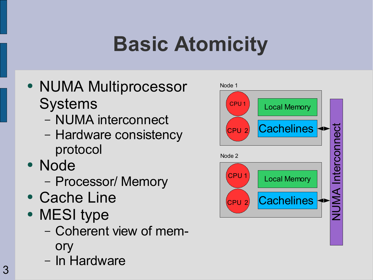# **Basic Atomicity**

- NUMA Multiprocessor **Systems** 
	- NUMA interconnect
	- Hardware consistency protocol
- Node
	- Processor/ Memory
- Cache Line
- MESI type
	- Coherent view of memory
	- In Hardware

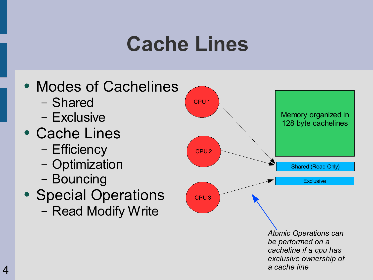#### **Cache Lines**

- Modes of Cachelines
	- Shared
	- Exclusive
- Cache Lines
	- Efficiency
	- Optimization
	- Bouncing
- Special Operations – Read Modify Write

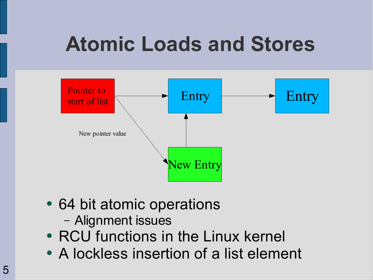#### **Atomic Loads and Stores**



- 64 bit atomic operations
	- Alignment issues
- RCU functions in the Linux kernel
- A lockless insertion of a list element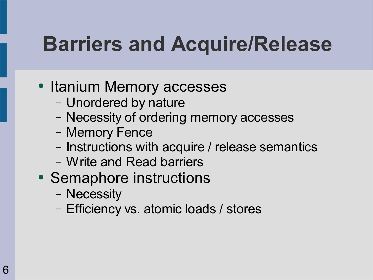### **Barriers and Acquire/Release**

- Itanium Memory accesses
	- Unordered by nature
	- Necessity of ordering memory accesses
	- Memory Fence
	- Instructions with acquire / release semantics
	- Write and Read barriers
- Semaphore instructions
	- Necessity
	- Efficiency vs. atomic loads / stores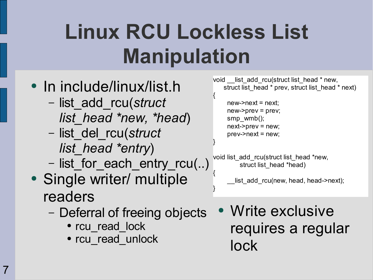# **Linux RCU Lockless List Manipulation**

{

}

}

- In include/linux/list.h
	- list\_add\_rcu(*struct list\_head \*new, \*head*)
	- list\_del\_rcu(*struct list\_head \*entry*)
	- list for each entry rcu(..)
- Single writer/ multiple readers
	- Deferral of freeing objects
		- rcu read lock
		- rcu read unlock

void list add rcu(struct list head \* new, struct list head \* prev, struct list head \* next)

 $new\text{-}next = next$ :  $new\text{-}spec = prev;$ smp\_wmb(); next->prev = new;  $prev\text{-}next = new;$ 

void list add rcu(struct list head \*new, struct list head \*head) {

list add rcu(new, head, head->next);

• Write exclusive requires a regular lock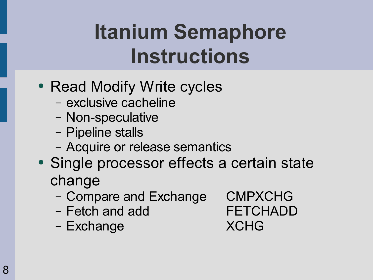# **Itanium Semaphore Instructions**

- Read Modify Write cycles
	- exclusive cacheline
	- Non-speculative
	- Pipeline stalls
	- Acquire or release semantics
- Single processor effects a certain state change
	- Compare and Exchange CMPXCHG
	- Fetch and add FETCHADD
	- Exchange XCHG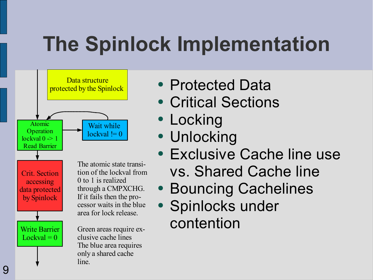## **The Spinlock Implementation**



- Protected Data
- Critical Sections
- Locking
- Unlocking
- Exclusive Cache line use vs. Shared Cache line
- Bouncing Cachelines
- Spinlocks under contention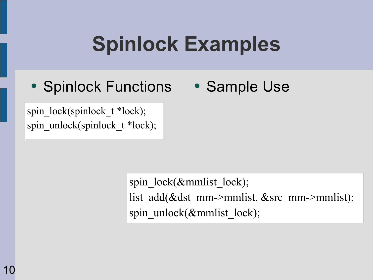## **Spinlock Examples**

- Spinlock Functions Sample Use
- 

spin\_lock(spinlock\_t \*lock); spin\_unlock(spinlock\_t \*lock);

> spin\_lock(&mmlist\_lock); list add(&dst mm->mmlist, &src mm->mmlist); spin\_unlock(&mmlist\_lock);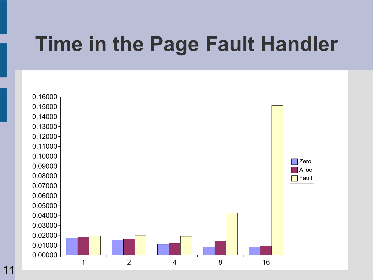#### **Time in the Page Fault Handler**

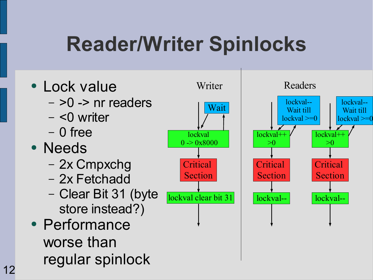### **Reader/Writer Spinlocks**

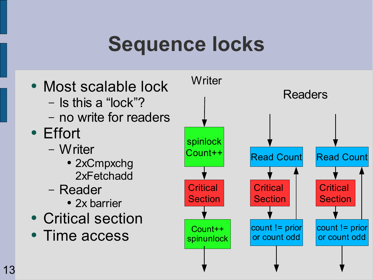### **Sequence locks**

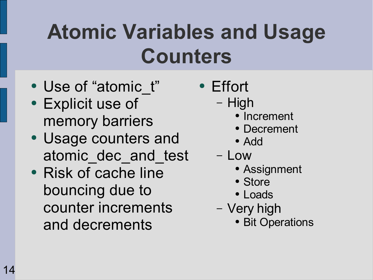## **Atomic Variables and Usage Counters**

- Use of "atomic\_t"
- Explicit use of memory barriers
- Usage counters and atomic\_dec\_and\_test
- Risk of cache line bouncing due to counter increments and decrements
- Effort
	- High
		- Increment
		- Decrement
		- Add
	- Low
		- Assignment
		- Store
		- Loads
	- Very high
		- Bit Operations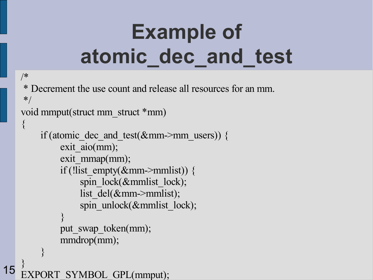# **Example of atomic\_dec\_and\_test**

```
/*
* Decrement the use count and release all resources for an mm.
*/
void mmput(struct mm_struct *mm)
\{if (atomic_dec_and_test(&mm->mm_users)) {
         exit aio(mm);
         exit_mmap(mm);
         if (!list empty(\&mm->mmlist)) {
             spin_lock(&mmlist_lock);
             list_del(&mm->mmlist);
             spin_unlock(&mmlist_lock);
         }
         put swap token(mm);
         mmdrop(mm);
    }
}
```
SYMBOL GPL(mmput);

15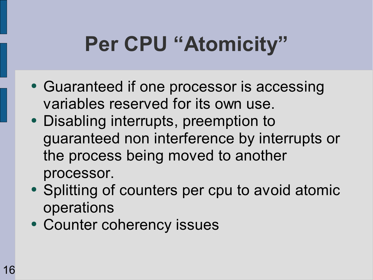## **Per CPU "Atomicity"**

- Guaranteed if one processor is accessing variables reserved for its own use.
- Disabling interrupts, preemption to guaranteed non interference by interrupts or the process being moved to another processor.
- Splitting of counters per cpu to avoid atomic operations
- Counter coherency issues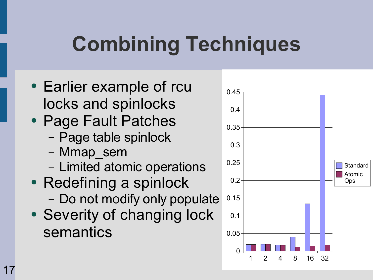# **Combining Techniques**

- Earlier example of rcu locks and spinlocks
- Page Fault Patches
	- Page table spinlock
	- Mmap\_sem
	- Limited atomic operations
- Redefining a spinlock – Do not modify only populate
- Severity of changing lock semantics

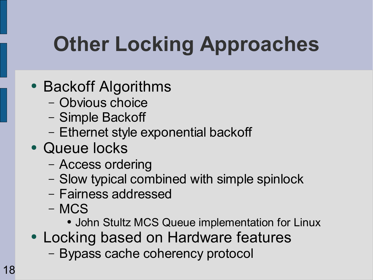# **Other Locking Approaches**

- Backoff Algorithms
	- Obvious choice
	- Simple Backoff
	- Ethernet style exponential backoff
- Queue locks
	- Access ordering
	- Slow typical combined with simple spinlock
	- Fairness addressed
	- MCS
		- John Stultz MCS Queue implementation for Linux
- Locking based on Hardware features
	- Bypass cache coherency protocol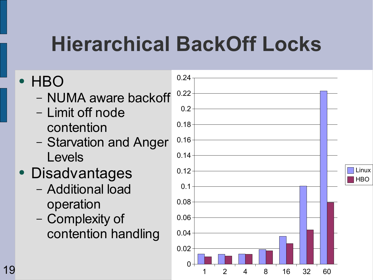### **Hierarchical BackOff Locks**

#### ● HBO

- NUMA aware backoff
- Limit off node contention
- Starvation and Anger Levels
- **Disadvantages** 
	- Additional load operation
	- Complexity of contention handling